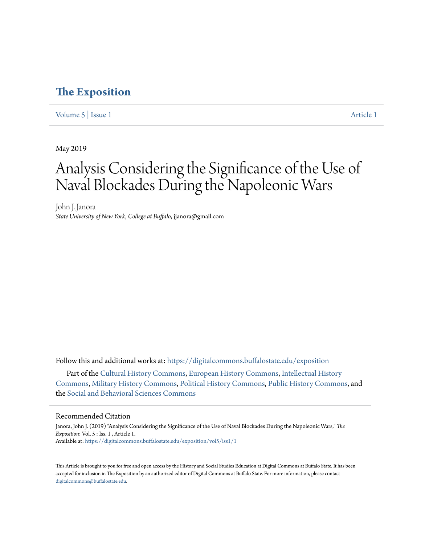### **[The Exposition](https://digitalcommons.buffalostate.edu/exposition?utm_source=digitalcommons.buffalostate.edu%2Fexposition%2Fvol5%2Fiss1%2F1&utm_medium=PDF&utm_campaign=PDFCoverPages)**

[Volume 5](https://digitalcommons.buffalostate.edu/exposition/vol5?utm_source=digitalcommons.buffalostate.edu%2Fexposition%2Fvol5%2Fiss1%2F1&utm_medium=PDF&utm_campaign=PDFCoverPages) | [Issue 1](https://digitalcommons.buffalostate.edu/exposition/vol5/iss1?utm_source=digitalcommons.buffalostate.edu%2Fexposition%2Fvol5%2Fiss1%2F1&utm_medium=PDF&utm_campaign=PDFCoverPages) [Article 1](https://digitalcommons.buffalostate.edu/exposition/vol5/iss1/1?utm_source=digitalcommons.buffalostate.edu%2Fexposition%2Fvol5%2Fiss1%2F1&utm_medium=PDF&utm_campaign=PDFCoverPages)

May 2019

# Analysis Considering the Significance of the Use of Naval Blockades During the Napoleonic Wars

John J. Janora *State University of New York, College at Buffalo*, jjanora@gmail.com

Follow this and additional works at: [https://digitalcommons.buffalostate.edu/exposition](https://digitalcommons.buffalostate.edu/exposition?utm_source=digitalcommons.buffalostate.edu%2Fexposition%2Fvol5%2Fiss1%2F1&utm_medium=PDF&utm_campaign=PDFCoverPages)

Part of the [Cultural History Commons,](http://network.bepress.com/hgg/discipline/496?utm_source=digitalcommons.buffalostate.edu%2Fexposition%2Fvol5%2Fiss1%2F1&utm_medium=PDF&utm_campaign=PDFCoverPages) [European History Commons](http://network.bepress.com/hgg/discipline/492?utm_source=digitalcommons.buffalostate.edu%2Fexposition%2Fvol5%2Fiss1%2F1&utm_medium=PDF&utm_campaign=PDFCoverPages), [Intellectual History](http://network.bepress.com/hgg/discipline/501?utm_source=digitalcommons.buffalostate.edu%2Fexposition%2Fvol5%2Fiss1%2F1&utm_medium=PDF&utm_campaign=PDFCoverPages) [Commons,](http://network.bepress.com/hgg/discipline/501?utm_source=digitalcommons.buffalostate.edu%2Fexposition%2Fvol5%2Fiss1%2F1&utm_medium=PDF&utm_campaign=PDFCoverPages) [Military History Commons](http://network.bepress.com/hgg/discipline/504?utm_source=digitalcommons.buffalostate.edu%2Fexposition%2Fvol5%2Fiss1%2F1&utm_medium=PDF&utm_campaign=PDFCoverPages), [Political History Commons](http://network.bepress.com/hgg/discipline/505?utm_source=digitalcommons.buffalostate.edu%2Fexposition%2Fvol5%2Fiss1%2F1&utm_medium=PDF&utm_campaign=PDFCoverPages), [Public History Commons,](http://network.bepress.com/hgg/discipline/1292?utm_source=digitalcommons.buffalostate.edu%2Fexposition%2Fvol5%2Fiss1%2F1&utm_medium=PDF&utm_campaign=PDFCoverPages) and the [Social and Behavioral Sciences Commons](http://network.bepress.com/hgg/discipline/316?utm_source=digitalcommons.buffalostate.edu%2Fexposition%2Fvol5%2Fiss1%2F1&utm_medium=PDF&utm_campaign=PDFCoverPages)

#### Recommended Citation

Janora, John J. (2019) "Analysis Considering the Significance of the Use of Naval Blockades During the Napoleonic Wars," *The Exposition*: Vol. 5 : Iss. 1 , Article 1. Available at: [https://digitalcommons.buffalostate.edu/exposition/vol5/iss1/1](https://digitalcommons.buffalostate.edu/exposition/vol5/iss1/1?utm_source=digitalcommons.buffalostate.edu%2Fexposition%2Fvol5%2Fiss1%2F1&utm_medium=PDF&utm_campaign=PDFCoverPages)

This Article is brought to you for free and open access by the History and Social Studies Education at Digital Commons at Buffalo State. It has been accepted for inclusion in The Exposition by an authorized editor of Digital Commons at Buffalo State. For more information, please contact [digitalcommons@buffalostate.edu.](mailto:digitalcommons@buffalostate.edu)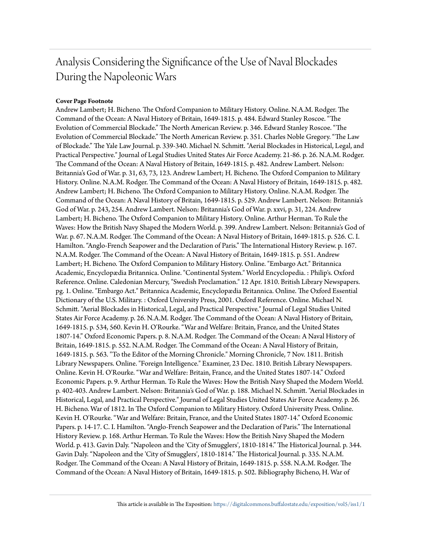## Analysis Considering the Significance of the Use of Naval Blockades During the Napoleonic Wars

### **Cover Page Footnote**

Andrew Lambert; H. Bicheno. The Oxford Companion to Military History. Online. N.A.M. Rodger. The Command of the Ocean: A Naval History of Britain, 1649-1815. p. 484. Edward Stanley Roscoe. "The Evolution of Commercial Blockade." The North American Review. p. 346. Edward Stanley Roscoe. "The Evolution of Commercial Blockade." The North American Review. p. 351. Charles Noble Gregory. "The Law of Blockade." The Yale Law Journal. p. 339-340. Michael N. Schmitt. "Aerial Blockades in Historical, Legal, and Practical Perspective." Journal of Legal Studies United States Air Force Academy. 21-86. p. 26. N.A.M. Rodger. The Command of the Ocean: A Naval History of Britain, 1649-1815. p. 482. Andrew Lambert. Nelson: Britannia's God of War. p. 31, 63, 73, 123. Andrew Lambert; H. Bicheno. The Oxford Companion to Military History. Online. N.A.M. Rodger. The Command of the Ocean: A Naval History of Britain, 1649-1815. p. 482. Andrew Lambert; H. Bicheno. The Oxford Companion to Military History. Online. N.A.M. Rodger. The Command of the Ocean: A Naval History of Britain, 1649-1815. p. 529. Andrew Lambert. Nelson: Britannia's God of War. p. 243, 254. Andrew Lambert. Nelson: Britannia's God of War. p. xxvi, p. 31, 224. Andrew Lambert; H. Bicheno. The Oxford Companion to Military History. Online. Arthur Herman. To Rule the Waves: How the British Navy Shaped the Modern World. p. 399. Andrew Lambert. Nelson: Britannia's God of War. p. 67. N.A.M. Rodger. The Command of the Ocean: A Naval History of Britain, 1649-1815. p. 526. C. I. Hamilton. "Anglo-French Seapower and the Declaration of Paris." The International History Review. p. 167. N.A.M. Rodger. The Command of the Ocean: A Naval History of Britain, 1649-1815. p. 551. Andrew Lambert; H. Bicheno. The Oxford Companion to Military History. Online. "Embargo Act." Britannica Academic, Encyclopædia Britannica. Online. "Continental System." World Encyclopedia. : Philip's. Oxford Reference. Online. Caledonian Mercury, "Swedish Proclamation." 12 Apr. 1810. British Library Newspapers. pg. 1. Online. "Embargo Act." Britannica Academic, Encyclopædia Britannica. Online. The Oxford Essential Dictionary of the U.S. Military. : Oxford University Press, 2001. Oxford Reference. Online. Michael N. Schmitt. "Aerial Blockades in Historical, Legal, and Practical Perspective." Journal of Legal Studies United States Air Force Academy. p. 26. N.A.M. Rodger. The Command of the Ocean: A Naval History of Britain, 1649-1815. p. 534, 560. Kevin H. O'Rourke. "War and Welfare: Britain, France, and the United States 1807-14." Oxford Economic Papers. p. 8. N.A.M. Rodger. The Command of the Ocean: A Naval History of Britain, 1649-1815. p. 552. N.A.M. Rodger. The Command of the Ocean: A Naval History of Britain, 1649-1815. p. 563. "To the Editor of the Morning Chronicle." Morning Chronicle, 7 Nov. 1811. British Library Newspapers. Online. "Foreign Intelligence." Examiner, 23 Dec. 1810. British Library Newspapers. Online. Kevin H. O'Rourke. "War and Welfare: Britain, France, and the United States 1807-14." Oxford Economic Papers. p. 9. Arthur Herman. To Rule the Waves: How the British Navy Shaped the Modern World. p. 402-403. Andrew Lambert. Nelson: Britannia's God of War. p. 188. Michael N. Schmitt. "Aerial Blockades in Historical, Legal, and Practical Perspective." Journal of Legal Studies United States Air Force Academy. p. 26. H. Bicheno. War of 1812. In The Oxford Companion to Military History. Oxford University Press. Online. Kevin H. O'Rourke. "War and Welfare: Britain, France, and the United States 1807-14." Oxford Economic Papers. p. 14-17. C. I. Hamilton. "Anglo-French Seapower and the Declaration of Paris." The International History Review. p. 168. Arthur Herman. To Rule the Waves: How the British Navy Shaped the Modern World. p. 413. Gavin Daly. "Napoleon and the 'City of Smugglers', 1810-1814." The Historical Journal. p. 344. Gavin Daly. "Napoleon and the 'City of Smugglers', 1810-1814." The Historical Journal. p. 335. N.A.M. Rodger. The Command of the Ocean: A Naval History of Britain, 1649-1815. p. 558. N.A.M. Rodger. The Command of the Ocean: A Naval History of Britain, 1649-1815. p. 502. Bibliography Bicheno, H. War of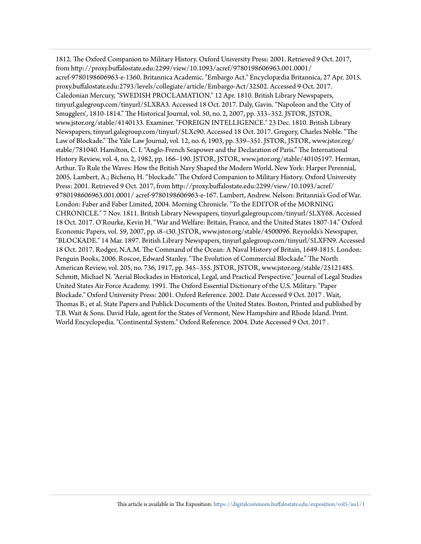1812. The Oxford Companion to Military History. Oxford University Press: 2001. Retrieved 9 Oct. 2017, from http://proxy.buffalostate.edu:2299/view/10.1093/acref/9780198606963.001.0001/ acref-9780198606963-e-1360. Britannica Academic. "Embargo Act." Encyclopædia Britannica, 27 Apr. 2015. proxy.buffalostate.edu:2793/levels/collegiate/article/Embargo-Act/32502. Accessed 9 Oct. 2017. Caledonian Mercury, "SWEDISH PROCLAMATION." 12 Apr. 1810. British Library Newspapers, tinyurl.galegroup.com/tinyurl/5LXRA3. Accessed 18 Oct. 2017. Daly, Gavin. "Napoleon and the 'City of Smugglers', 1810-1814." The Historical Journal, vol. 50, no. 2, 2007, pp. 333–352. JSTOR, JSTOR, www.jstor.org/stable/4140133. Examiner. "FOREIGN INTELLIGENCE." 23 Dec. 1810. British Library Newspapers, tinyurl.galegroup.com/tinyurl/5LXc90. Accessed 18 Oct. 2017. Gregory, Charles Noble. "The Law of Blockade." The Yale Law Journal, vol. 12, no. 6, 1903, pp. 339–351. JSTOR, JSTOR, www.jstor.org/ stable/781040. Hamilton, C. I. "Anglo-French Seapower and the Declaration of Paris." The International History Review, vol. 4, no. 2, 1982, pp. 166–190. JSTOR, JSTOR, www.jstor.org/stable/40105197. Herman, Arthur. To Rule the Waves: How the British Navy Shaped the Modern World. New York: Harper Perennial, 2005. Lambert, A.; Bicheno, H. "blockade." The Oxford Companion to Military History. Oxford University Press: 2001. Retrieved 9 Oct. 2017, from http://proxy.buffalostate.edu:2299/view/10.1093/acref/ 9780198606963.001.0001/ acref-9780198606963-e-167. Lambert, Andrew. Nelson: Britannia's God of War. London: Faber and Faber Limited, 2004. Morning Chronicle. "To the EDITOR of the MORNING CHRONICLE." 7 Nov. 1811. British Library Newspapers, tinyurl.galegroup.com/tinyurl/5LXY68. Accessed 18 Oct. 2017. O'Rourke, Kevin H. "War and Welfare: Britain, France, and the United States 1807-14." Oxford Economic Papers, vol. 59, 2007, pp. i8–i30. JSTOR, www.jstor.org/stable/4500096. Reynolds's Newspaper, "BLOCKADE." 14 Mar. 1897. British Library Newspapers, tinyurl.galegroup.com/tinyurl/5LXFN9. Accessed 18 Oct. 2017. Rodger, N.A.M. The Command of the Ocean: A Naval History of Britain, 1649-1815. London: Penguin Books, 2006. Roscoe, Edward Stanley. "The Evolution of Commercial Blockade." The North American Review, vol. 205, no. 736, 1917, pp. 345–355. JSTOR, JSTOR, www.jstor.org/stable/25121485. Schmitt, Michael N. "Aerial Blockades in Historical, Legal, and Practical Perspective." Journal of Legal Studies United States Air Force Academy. 1991. The Oxford Essential Dictionary of the U.S. Military. "Paper Blockade." Oxford University Press: 2001. Oxford Reference. 2002. Date Accessed 9 Oct. 2017 . Wait, Thomas B.; et al. State Papers and Publick Documents of the United States. Boston, Printed and published by T.B. Wait & Sons. David Hale, agent for the States of Vermont, New Hampshire and Rhode Island. Print. World Encyclopedia. "Continental System." Oxford Reference. 2004. Date Accessed 9 Oct. 2017 .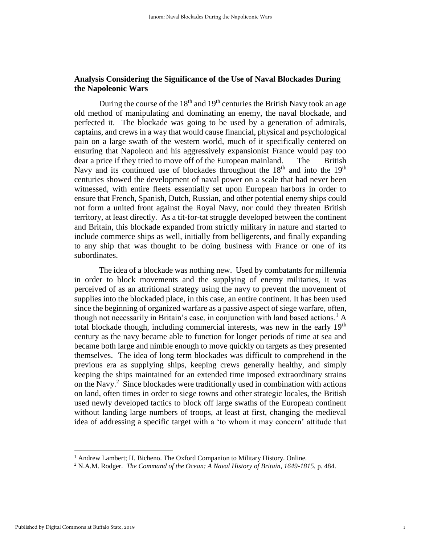### **Analysis Considering the Significance of the Use of Naval Blockades During the Napoleonic Wars**

During the course of the  $18<sup>th</sup>$  and  $19<sup>th</sup>$  centuries the British Navy took an age old method of manipulating and dominating an enemy, the naval blockade, and perfected it. The blockade was going to be used by a generation of admirals, captains, and crews in a way that would cause financial, physical and psychological pain on a large swath of the western world, much of it specifically centered on ensuring that Napoleon and his aggressively expansionist France would pay too dear a price if they tried to move off of the European mainland. The British Navy and its continued use of blockades throughout the  $18<sup>th</sup>$  and into the  $19<sup>th</sup>$ centuries showed the development of naval power on a scale that had never been witnessed, with entire fleets essentially set upon European harbors in order to ensure that French, Spanish, Dutch, Russian, and other potential enemy ships could not form a united front against the Royal Navy, nor could they threaten British territory, at least directly. As a tit-for-tat struggle developed between the continent and Britain, this blockade expanded from strictly military in nature and started to include commerce ships as well, initially from belligerents, and finally expanding to any ship that was thought to be doing business with France or one of its subordinates.

The idea of a blockade was nothing new. Used by combatants for millennia in order to block movements and the supplying of enemy militaries, it was perceived of as an attritional strategy using the navy to prevent the movement of supplies into the blockaded place, in this case, an entire continent. It has been used since the beginning of organized warfare as a passive aspect of siege warfare, often, though not necessarily in Britain's case, in conjunction with land based actions.<sup>1</sup> A total blockade though, including commercial interests, was new in the early  $19<sup>th</sup>$ century as the navy became able to function for longer periods of time at sea and became both large and nimble enough to move quickly on targets as they presented themselves. The idea of long term blockades was difficult to comprehend in the previous era as supplying ships, keeping crews generally healthy, and simply keeping the ships maintained for an extended time imposed extraordinary strains on the Navy.<sup>2</sup> Since blockades were traditionally used in combination with actions on land, often times in order to siege towns and other strategic locales, the British used newly developed tactics to block off large swaths of the European continent without landing large numbers of troops, at least at first, changing the medieval idea of addressing a specific target with a 'to whom it may concern' attitude that

<sup>&</sup>lt;sup>1</sup> Andrew Lambert; H. Bicheno. The Oxford Companion to Military History. Online.

<sup>2</sup> N.A.M. Rodger. *The Command of the Ocean: A Naval History of Britain, 1649-1815.* p. 484.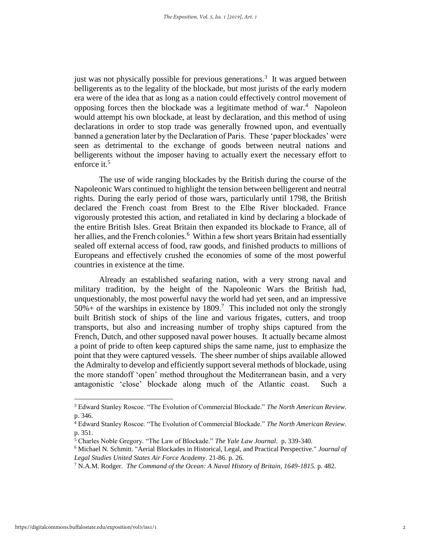just was not physically possible for previous generations.<sup>3</sup> It was argued between belligerents as to the legality of the blockade, but most jurists of the early modern era were of the idea that as long as a nation could effectively control movement of opposing forces then the blockade was a legitimate method of war. $4$  Napoleon would attempt his own blockade, at least by declaration, and this method of using declarations in order to stop trade was generally frowned upon, and eventually banned a generation later by the Declaration of Paris. These 'paper blockades' were seen as detrimental to the exchange of goods between neutral nations and belligerents without the imposer having to actually exert the necessary effort to enforce it.<sup>5</sup>

The use of wide ranging blockades by the British during the course of the Napoleonic Wars continued to highlight the tension between belligerent and neutral rights. During the early period of those wars, particularly until 1798, the British declared the French coast from Brest to the Elbe River blockaded. France vigorously protested this action, and retaliated in kind by declaring a blockade of the entire British Isles. Great Britain then expanded its blockade to France, all of her allies, and the French colonies.<sup>6</sup> Within a few short years Britain had essentially sealed off external access of food, raw goods, and finished products to millions of Europeans and effectively crushed the economies of some of the most powerful countries in existence at the time.

Already an established seafaring nation, with a very strong naval and military tradition, by the height of the Napoleonic Wars the British had, unquestionably, the most powerful navy the world had yet seen, and an impressive  $50\%$  + of the warships in existence by 1809.<sup>7</sup> This included not only the strongly built British stock of ships of the line and various frigates, cutters, and troop transports, but also and increasing number of trophy ships captured from the French, Dutch, and other supposed naval power houses. It actually became almost a point of pride to often keep captured ships the same name, just to emphasize the point that they were captured vessels. The sheer number of ships available allowed the Admiralty to develop and efficiently support several methods of blockade, using the more standoff 'open' method throughout the Mediterranean basin, and a very antagonistic 'close' blockade along much of the Atlantic coast. Such a

 $\overline{\phantom{a}}$ 

<sup>3</sup> Edward Stanley Roscoe. "The Evolution of Commercial Blockade." *The North American Review*. p. 346.

<sup>4</sup> Edward Stanley Roscoe. "The Evolution of Commercial Blockade." *The North American Review*. p. 351.

<sup>5</sup> Charles Noble Gregory. "The Law of Blockade." *The Yale Law Journal*. p. 339-340.

<sup>6</sup> Michael N. Schmitt. "Aerial Blockades in Historical, Legal, and Practical Perspective." *Journal of Legal Studies United States Air Force Academy*. 21-86. p. 26.

<sup>7</sup> N.A.M. Rodger. *The Command of the Ocean: A Naval History of Britain, 1649-1815.* p. 482.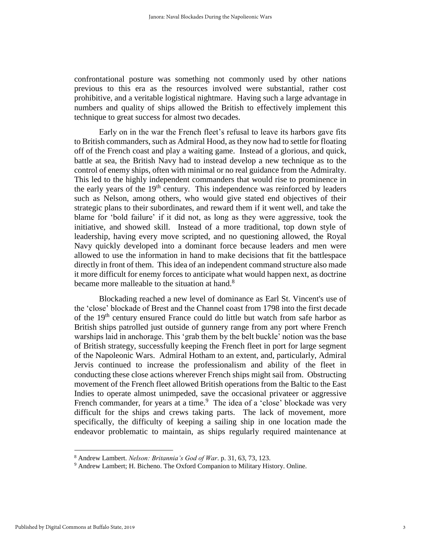confrontational posture was something not commonly used by other nations previous to this era as the resources involved were substantial, rather cost prohibitive, and a veritable logistical nightmare. Having such a large advantage in numbers and quality of ships allowed the British to effectively implement this technique to great success for almost two decades.

Early on in the war the French fleet's refusal to leave its harbors gave fits to British commanders, such as Admiral Hood, as they now had to settle for floating off of the French coast and play a waiting game. Instead of a glorious, and quick, battle at sea, the British Navy had to instead develop a new technique as to the control of enemy ships, often with minimal or no real guidance from the Admiralty. This led to the highly independent commanders that would rise to prominence in the early years of the  $19<sup>th</sup>$  century. This independence was reinforced by leaders such as Nelson, among others, who would give stated end objectives of their strategic plans to their subordinates, and reward them if it went well, and take the blame for 'bold failure' if it did not, as long as they were aggressive, took the initiative, and showed skill. Instead of a more traditional, top down style of leadership, having every move scripted, and no questioning allowed, the Royal Navy quickly developed into a dominant force because leaders and men were allowed to use the information in hand to make decisions that fit the battlespace directly in front of them. This idea of an independent command structure also made it more difficult for enemy forces to anticipate what would happen next, as doctrine became more malleable to the situation at hand.<sup>8</sup>

Blockading reached a new level of dominance as Earl St. Vincent's use of the 'close' blockade of Brest and the Channel coast from 1798 into the first decade of the 19<sup>th</sup> century ensured France could do little but watch from safe harbor as British ships patrolled just outside of gunnery range from any port where French warships laid in anchorage. This 'grab them by the belt buckle' notion was the base of British strategy, successfully keeping the French fleet in port for large segment of the Napoleonic Wars. Admiral Hotham to an extent, and, particularly, Admiral Jervis continued to increase the professionalism and ability of the fleet in conducting these close actions wherever French ships might sail from. Obstructing movement of the French fleet allowed British operations from the Baltic to the East Indies to operate almost unimpeded, save the occasional privateer or aggressive French commander, for years at a time.<sup>9</sup> The idea of a 'close' blockade was very difficult for the ships and crews taking parts. The lack of movement, more specifically, the difficulty of keeping a sailing ship in one location made the endeavor problematic to maintain, as ships regularly required maintenance at

<sup>8</sup> Andrew Lambert. *Nelson: Britannia's God of War*. p. 31, 63, 73, 123.

<sup>9</sup> Andrew Lambert; H. Bicheno. The Oxford Companion to Military History. Online.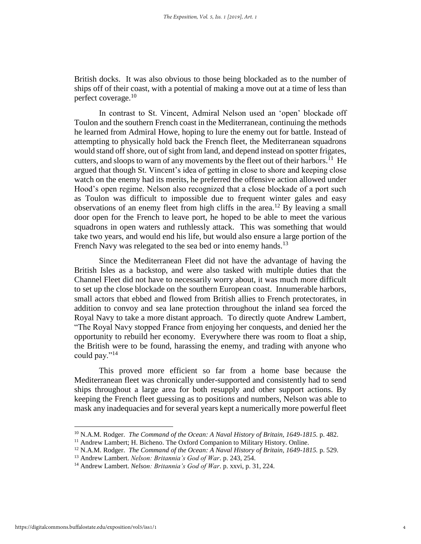British docks. It was also obvious to those being blockaded as to the number of ships off of their coast, with a potential of making a move out at a time of less than perfect coverage.<sup>10</sup>

In contrast to St. Vincent, Admiral Nelson used an 'open' blockade off Toulon and the southern French coast in the Mediterranean, continuing the methods he learned from Admiral Howe, hoping to lure the enemy out for battle. Instead of attempting to physically hold back the French fleet, the Mediterranean squadrons would stand off shore, out of sight from land, and depend instead on spotter frigates, cutters, and sloops to warn of any movements by the fleet out of their harbors.<sup>11</sup> He argued that though St. Vincent's idea of getting in close to shore and keeping close watch on the enemy had its merits, he preferred the offensive action allowed under Hood's open regime. Nelson also recognized that a close blockade of a port such as Toulon was difficult to impossible due to frequent winter gales and easy observations of an enemy fleet from high cliffs in the area.<sup>12</sup> By leaving a small door open for the French to leave port, he hoped to be able to meet the various squadrons in open waters and ruthlessly attack. This was something that would take two years, and would end his life, but would also ensure a large portion of the French Navy was relegated to the sea bed or into enemy hands.<sup>13</sup>

Since the Mediterranean Fleet did not have the advantage of having the British Isles as a backstop, and were also tasked with multiple duties that the Channel Fleet did not have to necessarily worry about, it was much more difficult to set up the close blockade on the southern European coast. Innumerable harbors, small actors that ebbed and flowed from British allies to French protectorates, in addition to convoy and sea lane protection throughout the inland sea forced the Royal Navy to take a more distant approach. To directly quote Andrew Lambert, "The Royal Navy stopped France from enjoying her conquests, and denied her the opportunity to rebuild her economy. Everywhere there was room to float a ship, the British were to be found, harassing the enemy, and trading with anyone who could pay."<sup>14</sup>

This proved more efficient so far from a home base because the Mediterranean fleet was chronically under-supported and consistently had to send ships throughout a large area for both resupply and other support actions. By keeping the French fleet guessing as to positions and numbers, Nelson was able to mask any inadequacies and for several years kept a numerically more powerful fleet

l

<sup>10</sup> N.A.M. Rodger. *The Command of the Ocean: A Naval History of Britain, 1649-1815.* p. 482.

<sup>&</sup>lt;sup>11</sup> Andrew Lambert; H. Bicheno. The Oxford Companion to Military History. Online.

<sup>12</sup> N.A.M. Rodger. *The Command of the Ocean: A Naval History of Britain, 1649-1815.* p. 529.

<sup>13</sup> Andrew Lambert. *Nelson: Britannia's God of War*. p. 243, 254.

<sup>14</sup> Andrew Lambert. *Nelson: Britannia's God of War*. p. xxvi, p. 31, 224.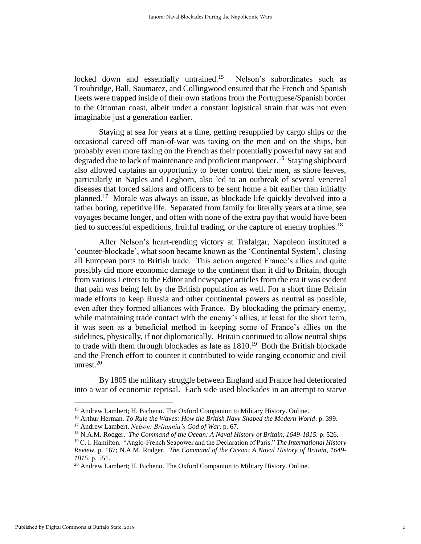locked down and essentially untrained.<sup>15</sup> Nelson's subordinates such as Troubridge, Ball, Saumarez, and Collingwood ensured that the French and Spanish fleets were trapped inside of their own stations from the Portuguese/Spanish border to the Ottoman coast, albeit under a constant logistical strain that was not even imaginable just a generation earlier.

Staying at sea for years at a time, getting resupplied by cargo ships or the occasional carved off man-of-war was taxing on the men and on the ships, but probably even more taxing on the French as their potentially powerful navy sat and degraded due to lack of maintenance and proficient manpower.<sup>16</sup> Staying shipboard also allowed captains an opportunity to better control their men, as shore leaves, particularly in Naples and Leghorn, also led to an outbreak of several venereal diseases that forced sailors and officers to be sent home a bit earlier than initially planned.<sup>17</sup> Morale was always an issue, as blockade life quickly devolved into a rather boring, repetitive life. Separated from family for literally years at a time, sea voyages became longer, and often with none of the extra pay that would have been tied to successful expeditions, fruitful trading, or the capture of enemy trophies.<sup>18</sup>

After Nelson's heart-rending victory at Trafalgar, Napoleon instituted a 'counter-blockade', what soon became known as the 'Continental System', closing all European ports to British trade. This action angered France's allies and quite possibly did more economic damage to the continent than it did to Britain, though from various Letters to the Editor and newspaper articles from the era it was evident that pain was being felt by the British population as well. For a short time Britain made efforts to keep Russia and other continental powers as neutral as possible, even after they formed alliances with France. By blockading the primary enemy, while maintaining trade contact with the enemy's allies, at least for the short term, it was seen as a beneficial method in keeping some of France's allies on the sidelines, physically, if not diplomatically. Britain continued to allow neutral ships to trade with them through blockades as late as  $1810<sup>19</sup>$  Both the British blockade and the French effort to counter it contributed to wide ranging economic and civil unrest.<sup>20</sup>

By 1805 the military struggle between England and France had deteriorated into a war of economic reprisal. Each side used blockades in an attempt to starve

<sup>&</sup>lt;sup>15</sup> Andrew Lambert; H. Bicheno. The Oxford Companion to Military History. Online.

<sup>16</sup> Arthur Herman. *To Rule the Waves: How the British Navy Shaped the Modern World*. p. 399. <sup>17</sup> Andrew Lambert. *Nelson: Britannia's God of War*. p. 67.

<sup>18</sup> N.A.M. Rodger. *The Command of the Ocean: A Naval History of Britain, 1649-1815.* p. 526.

<sup>19</sup> C. I. Hamilton. "Anglo-French Seapower and the Declaration of Paris." *The International History Review*. p. 167; N.A.M. Rodger. *The Command of the Ocean: A Naval History of Britain, 1649- 1815.* p. 551.

 $^{20}$  Andrew Lambert; H. Bicheno. The Oxford Companion to Military History. Online.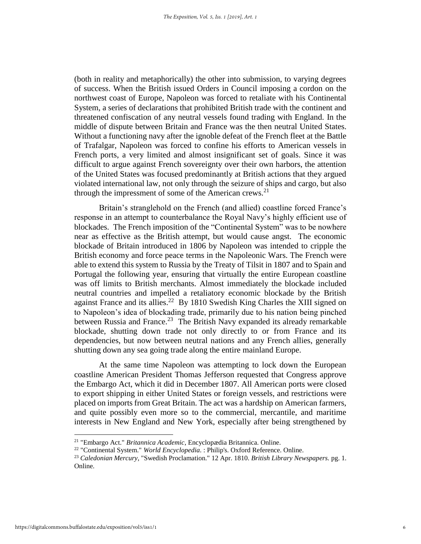(both in reality and metaphorically) the other into submission, to varying degrees of success. When the British issued Orders in Council imposing a cordon on the northwest coast of Europe, Napoleon was forced to retaliate with his Continental System, a series of declarations that prohibited British trade with the continent and threatened confiscation of any neutral vessels found trading with England. In the middle of dispute between Britain and France was the then neutral United States. Without a functioning navy after the ignoble defeat of the French fleet at the Battle of Trafalgar, Napoleon was forced to confine his efforts to American vessels in French ports, a very limited and almost insignificant set of goals. Since it was difficult to argue against French sovereignty over their own harbors, the attention of the United States was focused predominantly at British actions that they argued violated international law, not only through the seizure of ships and cargo, but also through the impressment of some of the American crews. $21$ 

Britain's stranglehold on the French (and allied) coastline forced France's response in an attempt to counterbalance the Royal Navy's highly efficient use of blockades. The French imposition of the "Continental System" was to be nowhere near as effective as the British attempt, but would cause angst. The economic blockade of Britain introduced in 1806 by Napoleon was intended to cripple the British economy and force peace terms in the Napoleonic Wars. The French were able to extend this system to Russia by the Treaty of Tilsit in 1807 and to Spain and Portugal the following year, ensuring that virtually the entire European coastline was off limits to British merchants. Almost immediately the blockade included neutral countries and impelled a retaliatory economic blockade by the British against France and its allies.<sup>22</sup> By 1810 Swedish King Charles the XIII signed on to Napoleon's idea of blockading trade, primarily due to his nation being pinched between Russia and France.<sup>23</sup> The British Navy expanded its already remarkable blockade, shutting down trade not only directly to or from France and its dependencies, but now between neutral nations and any French allies, generally shutting down any sea going trade along the entire mainland Europe.

At the same time Napoleon was attempting to lock down the European coastline American President Thomas Jefferson requested that Congress approve the Embargo Act, which it did in December 1807. All American ports were closed to export shipping in either United States or foreign vessels, and restrictions were placed on imports from Great Britain. The act was a hardship on American farmers, and quite possibly even more so to the commercial, mercantile, and maritime interests in New England and New York, especially after being strengthened by

<sup>21</sup> "Embargo Act." *Britannica Academic*, Encyclopædia Britannica. Online.

<sup>22</sup> "Continental System." *World Encyclopedia*. : Philip's. Oxford Reference. Online.

<sup>23</sup> *Caledonian Mercury*, "Swedish Proclamation." 12 Apr. 1810. *British Library Newspapers.* pg. 1. Online.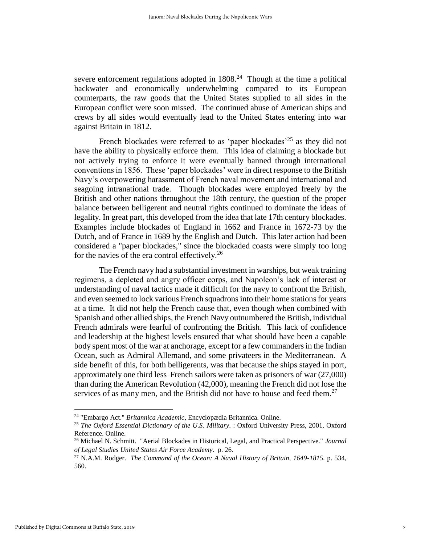severe enforcement regulations adopted in  $1808<sup>24</sup>$  Though at the time a political backwater and economically underwhelming compared to its European counterparts, the raw goods that the United States supplied to all sides in the European conflict were soon missed. The continued abuse of American ships and crews by all sides would eventually lead to the United States entering into war against Britain in 1812.

French blockades were referred to as 'paper blockades'<sup>25</sup> as they did not have the ability to physically enforce them. This idea of claiming a blockade but not actively trying to enforce it were eventually banned through international conventions in 1856. These 'paper blockades' were in direct response to the British Navy's overpowering harassment of French naval movement and international and seagoing intranational trade. Though blockades were employed freely by the British and other nations throughout the 18th century, the question of the proper balance between belligerent and neutral rights continued to dominate the ideas of legality. In great part, this developed from the idea that late 17th century blockades. Examples include blockades of England in 1662 and France in 1672-73 by the Dutch, and of France in 1689 by the English and Dutch. This later action had been considered a "paper blockades," since the blockaded coasts were simply too long for the navies of the era control effectively.<sup>26</sup>

The French navy had a substantial investment in warships, but weak training regimens, a depleted and angry officer corps, and Napoleon's lack of interest or understanding of naval tactics made it difficult for the navy to confront the British, and even seemed to lock various French squadrons into their home stations for years at a time. It did not help the French cause that, even though when combined with Spanish and other allied ships, the French Navy outnumbered the British, individual French admirals were fearful of confronting the British. This lack of confidence and leadership at the highest levels ensured that what should have been a capable body spent most of the war at anchorage, except for a few commanders in the Indian Ocean, such as Admiral Allemand, and some privateers in the Mediterranean. A side benefit of this, for both belligerents, was that because the ships stayed in port, approximately one third less French sailors were taken as prisoners of war (27,000) than during the American Revolution (42,000), meaning the French did not lose the services of as many men, and the British did not have to house and feed them.<sup>27</sup>

<sup>24</sup> "Embargo Act." *Britannica Academic*, Encyclopædia Britannica. Online.

<sup>25</sup> *The Oxford Essential Dictionary of the U.S. Military*. : Oxford University Press, 2001. Oxford Reference. Online.

<sup>26</sup> Michael N. Schmitt. "Aerial Blockades in Historical, Legal, and Practical Perspective." *Journal of Legal Studies United States Air Force Academy*. p. 26.

<sup>27</sup> N.A.M. Rodger. *The Command of the Ocean: A Naval History of Britain, 1649-1815.* p. 534, 560.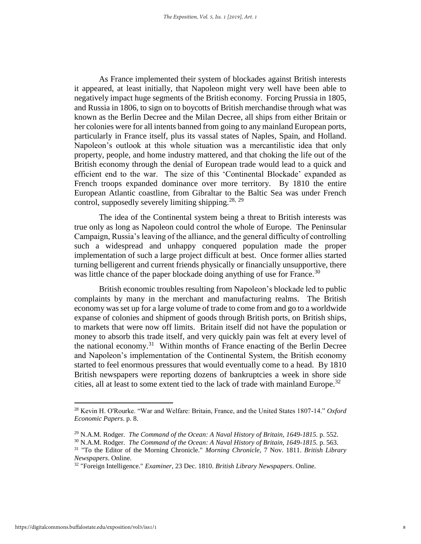As France implemented their system of blockades against British interests it appeared, at least initially, that Napoleon might very well have been able to negatively impact huge segments of the British economy. Forcing Prussia in 1805, and Russia in 1806, to sign on to boycotts of British merchandise through what was known as the Berlin Decree and the Milan Decree, all ships from either Britain or her colonies were for all intents banned from going to any mainland European ports, particularly in France itself, plus its vassal states of Naples, Spain, and Holland. Napoleon's outlook at this whole situation was a mercantilistic idea that only property, people, and home industry mattered, and that choking the life out of the British economy through the denial of European trade would lead to a quick and efficient end to the war. The size of this 'Continental Blockade' expanded as French troops expanded dominance over more territory. By 1810 the entire European Atlantic coastline, from Gibraltar to the Baltic Sea was under French control, supposedly severely limiting shipping.<sup>28, 29</sup>

The idea of the Continental system being a threat to British interests was true only as long as Napoleon could control the whole of Europe. The Peninsular Campaign, Russia's leaving of the alliance, and the general difficulty of controlling such a widespread and unhappy conquered population made the proper implementation of such a large project difficult at best. Once former allies started turning belligerent and current friends physically or financially unsupportive, there was little chance of the paper blockade doing anything of use for France.<sup>30</sup>

British economic troubles resulting from Napoleon's blockade led to public complaints by many in the merchant and manufacturing realms. The British economy was set up for a large volume of trade to come from and go to a worldwide expanse of colonies and shipment of goods through British ports, on British ships, to markets that were now off limits. Britain itself did not have the population or money to absorb this trade itself, and very quickly pain was felt at every level of the national economy.<sup>31</sup> Within months of France enacting of the Berlin Decree and Napoleon's implementation of the Continental System, the British economy started to feel enormous pressures that would eventually come to a head. By 1810 British newspapers were reporting dozens of bankruptcies a week in shore side cities, all at least to some extent tied to the lack of trade with mainland Europe.<sup>32</sup>

<sup>28</sup> Kevin H. O'Rourke. "War and Welfare: Britain, France, and the United States 1807-14." *Oxford Economic Papers*. p. 8.

<sup>29</sup> N.A.M. Rodger. *The Command of the Ocean: A Naval History of Britain, 1649-1815.* p. 552.

<sup>30</sup> N.A.M. Rodger. *The Command of the Ocean: A Naval History of Britain, 1649-1815.* p. 563. <sup>31</sup> "To the Editor of the Morning Chronicle." *Morning Chronicle*, 7 Nov. 1811. *British Library* 

*Newspapers*. Online.

<sup>32</sup> "Foreign Intelligence." *Examiner*, 23 Dec. 1810. *British Library Newspapers*. Online.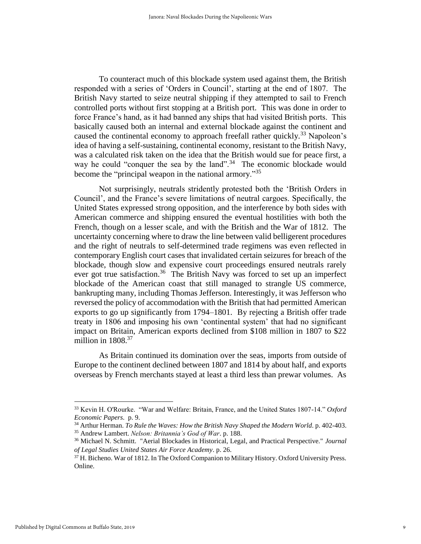To counteract much of this blockade system used against them, the British responded with a series of 'Orders in Council', starting at the end of 1807. The British Navy started to seize neutral shipping if they attempted to sail to French controlled ports without first stopping at a British port. This was done in order to force France's hand, as it had banned any ships that had visited British ports. This basically caused both an internal and external blockade against the continent and caused the continental economy to approach freefall rather quickly.<sup>33</sup> Napoleon's idea of having a self-sustaining, continental economy, resistant to the British Navy, was a calculated risk taken on the idea that the British would sue for peace first, a way he could "conquer the sea by the land".<sup>34</sup> The economic blockade would become the "principal weapon in the national armory."<sup>35</sup>

Not surprisingly, neutrals stridently protested both the 'British Orders in Council', and the France's severe limitations of neutral cargoes. Specifically, the United States expressed strong opposition, and the interference by both sides with American commerce and shipping ensured the eventual hostilities with both the French, though on a lesser scale, and with the British and the War of 1812. The uncertainty concerning where to draw the line between valid belligerent procedures and the right of neutrals to self-determined trade regimens was even reflected in contemporary English court cases that invalidated certain seizures for breach of the blockade, though slow and expensive court proceedings ensured neutrals rarely ever got true satisfaction.<sup>36</sup> The British Navy was forced to set up an imperfect blockade of the American coast that still managed to strangle US commerce, bankrupting many, including Thomas Jefferson. Interestingly, it was Jefferson who reversed the policy of accommodation with the British that had permitted American exports to go up significantly from 1794–1801. By rejecting a British offer trade treaty in 1806 and imposing his own 'continental system' that had no significant impact on Britain, American exports declined from \$108 million in 1807 to \$22 million in  $1808<sup>37</sup>$ 

As Britain continued its domination over the seas, imports from outside of Europe to the continent declined between 1807 and 1814 by about half, and exports overseas by French merchants stayed at least a third less than prewar volumes. As

l

<sup>33</sup> Kevin H. O'Rourke. "War and Welfare: Britain, France, and the United States 1807-14." *Oxford Economic Papers*. p. 9.

<sup>34</sup> Arthur Herman. *To Rule the Waves: How the British Navy Shaped the Modern World*. p. 402-403. <sup>35</sup> Andrew Lambert. *Nelson: Britannia's God of War*. p. 188.

<sup>36</sup> Michael N. Schmitt. "Aerial Blockades in Historical, Legal, and Practical Perspective." *Journal of Legal Studies United States Air Force Academy*. p. 26.

<sup>37</sup> H. Bicheno. War of 1812. In The Oxford Companion to Military History. Oxford University Press. Online.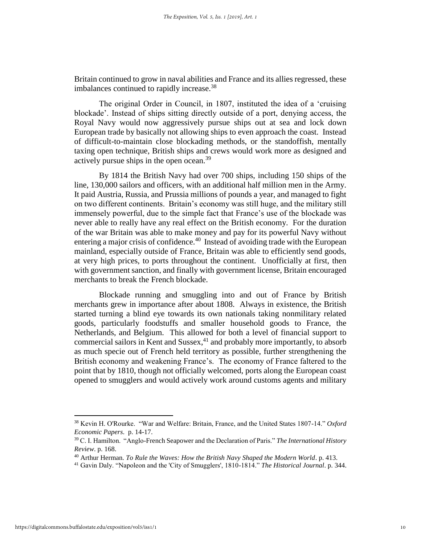Britain continued to grow in naval abilities and France and its allies regressed, these imbalances continued to rapidly increase.<sup>38</sup>

The original Order in Council, in 1807, instituted the idea of a 'cruising blockade'. Instead of ships sitting directly outside of a port, denying access, the Royal Navy would now aggressively pursue ships out at sea and lock down European trade by basically not allowing ships to even approach the coast. Instead of difficult-to-maintain close blockading methods, or the standoffish, mentally taxing open technique, British ships and crews would work more as designed and actively pursue ships in the open ocean.<sup>39</sup>

By 1814 the British Navy had over 700 ships, including 150 ships of the line, 130,000 sailors and officers, with an additional half million men in the Army. It paid Austria, Russia, and Prussia millions of pounds a year, and managed to fight on two different continents. Britain's economy was still huge, and the military still immensely powerful, due to the simple fact that France's use of the blockade was never able to really have any real effect on the British economy. For the duration of the war Britain was able to make money and pay for its powerful Navy without entering a major crisis of confidence.<sup>40</sup> Instead of avoiding trade with the European mainland, especially outside of France, Britain was able to efficiently send goods, at very high prices, to ports throughout the continent. Unofficially at first, then with government sanction, and finally with government license, Britain encouraged merchants to break the French blockade.

Blockade running and smuggling into and out of France by British merchants grew in importance after about 1808. Always in existence, the British started turning a blind eye towards its own nationals taking nonmilitary related goods, particularly foodstuffs and smaller household goods to France, the Netherlands, and Belgium. This allowed for both a level of financial support to commercial sailors in Kent and Sussex,<sup>41</sup> and probably more importantly, to absorb as much specie out of French held territory as possible, further strengthening the British economy and weakening France's. The economy of France faltered to the point that by 1810, though not officially welcomed, ports along the European coast opened to smugglers and would actively work around customs agents and military

 $\overline{\phantom{a}}$ 

<sup>38</sup> Kevin H. O'Rourke. "War and Welfare: Britain, France, and the United States 1807-14." *Oxford Economic Papers*. p. 14-17.

<sup>39</sup> C. I. Hamilton. "Anglo-French Seapower and the Declaration of Paris." *The International History Review*. p. 168.

<sup>40</sup> Arthur Herman. *To Rule the Waves: How the British Navy Shaped the Modern World*. p. 413.

<sup>41</sup> Gavin Daly. "Napoleon and the 'City of Smugglers', 1810-1814." *The Historical Journal*. p. 344.